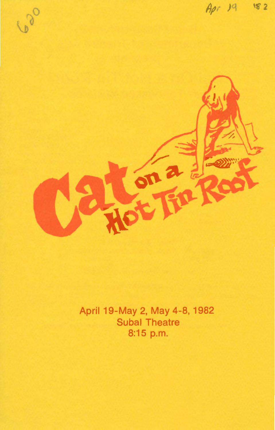

April 19-May 2, May 4-8, 1982 **Subal Theatre** 8:15 p.m.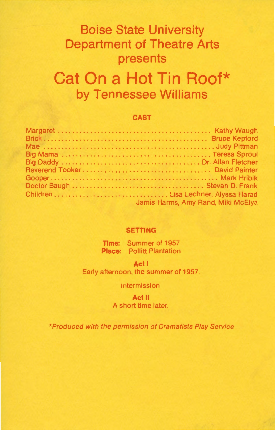# **Boise State University Department of Theatre Arts presents**

# **Cat On a Hot Tin Roof\* by Tennessee Williams**

#### **CAST**

| Jamis Harms, Amy Rand, Miki McElya |
|------------------------------------|

#### **SETTING**

**Time:** Summer of 1957 **Place:** Pollitt Plantation

**Act I**  Early afternoon, the summer of 1957.

Intermission

**Act** II A short time later.

\*Produced with the permission of Dramatists Play Service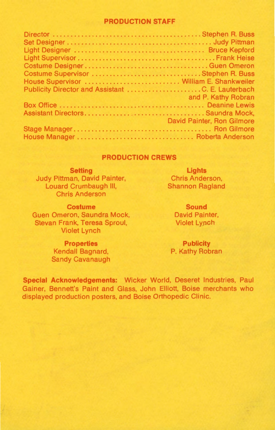#### **PRODUCTION STAFF**

| Costume DesignerGuen Omeron                       |                            |
|---------------------------------------------------|----------------------------|
| Costume Supervisor Stephen R. Buss                |                            |
| House Supervisor  William E. Shankweiler          |                            |
| Publicity Director and Assistant C. E. Lauterbach |                            |
| <b><i>Contract of the Second Seconds</i></b>      | and P. Kathy Robran        |
|                                                   |                            |
|                                                   |                            |
|                                                   | David Painter, Ron Gilmore |
|                                                   |                            |
|                                                   |                            |

#### **PRODUCTION CREWS**

**Setting**  Judy Pittman, David Painter, Louard Crumbaugh Ill, Chris Anderson

**Lights**  Chris Anderson, Shannon Ragland

**Costume**  Guen Omeron, Saundra Mock, Stevan Frank, Teresa Sproul, Violet Lynch

**Sound**  David Painter, Violet Lynch

**Publicity**  P. Kathy Robran

**Properties**  Kendall Bagnard, Sandy Cavanaugh

**Special Acknowledgements:** Wicker World, Deseret Industries, Paul Gainer, Bennett's Paint and Glass, John Elliott, Boise merchants who displayed production posters, and Boise Orthopedic Clinic.